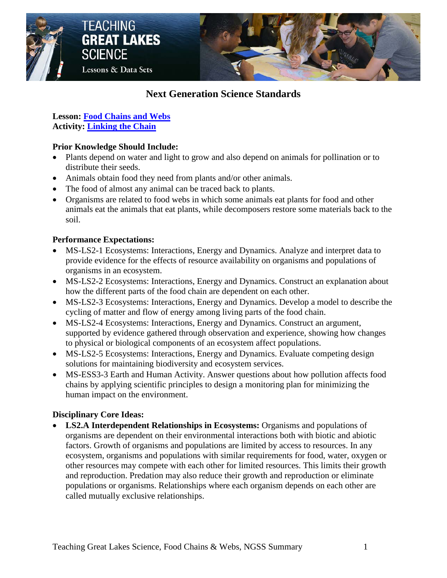

## **Next Generation Science Standards**

**Lesson: [Food Chains and Webs](http://www.miseagrant.umich.edu/lessons/lessons/by-broad-concept/life-science/food-chains-and-webs/) Activity: [Linking the Chain](http://www.miseagrant.umich.edu/lessons/lessons/by-broad-concept/life-science/food-chains-and-webs/activity-linking-the-chain/)**

### **Prior Knowledge Should Include:**

- Plants depend on water and light to grow and also depend on animals for pollination or to distribute their seeds.
- Animals obtain food they need from plants and/or other animals.
- The food of almost any animal can be traced back to plants.
- Organisms are related to food webs in which some animals eat plants for food and other animals eat the animals that eat plants, while decomposers restore some materials back to the soil.

#### **Performance Expectations:**

- MS-LS2-1 Ecosystems: Interactions, Energy and Dynamics. Analyze and interpret data to provide evidence for the effects of resource availability on organisms and populations of organisms in an ecosystem.
- MS-LS2-2 Ecosystems: Interactions, Energy and Dynamics. Construct an explanation about how the different parts of the food chain are dependent on each other.
- MS-LS2-3 Ecosystems: Interactions, Energy and Dynamics. Develop a model to describe the cycling of matter and flow of energy among living parts of the food chain.
- MS-LS2-4 Ecosystems: Interactions, Energy and Dynamics. Construct an argument, supported by evidence gathered through observation and experience, showing how changes to physical or biological components of an ecosystem affect populations.
- MS-LS2-5 Ecosystems: Interactions, Energy and Dynamics. Evaluate competing design solutions for maintaining biodiversity and ecosystem services.
- MS-ESS3-3 Earth and Human Activity. Answer questions about how pollution affects food chains by applying scientific principles to design a monitoring plan for minimizing the human impact on the environment.

### **Disciplinary Core Ideas:**

• **LS2.A Interdependent Relationships in Ecosystems:** Organisms and populations of organisms are dependent on their environmental interactions both with biotic and abiotic factors. Growth of organisms and populations are limited by access to resources. In any ecosystem, organisms and populations with similar requirements for food, water, oxygen or other resources may compete with each other for limited resources. This limits their growth and reproduction. Predation may also reduce their growth and reproduction or eliminate populations or organisms. Relationships where each organism depends on each other are called mutually exclusive relationships.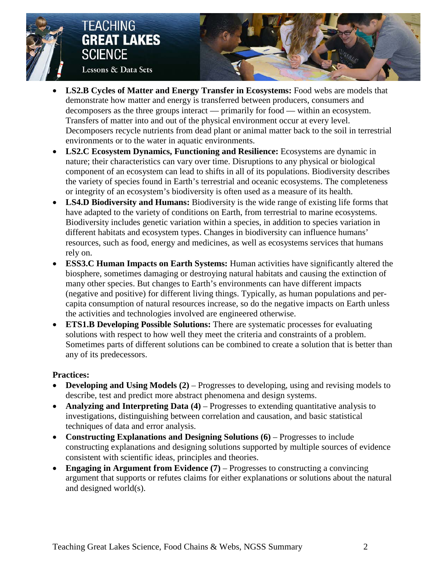

## **TEACHING GREAT LAKES SCIENCE** Lessons & Data Sets



- **LS2.B Cycles of Matter and Energy Transfer in Ecosystems:** Food webs are models that demonstrate how matter and energy is transferred between producers, consumers and decomposers as the three groups interact — primarily for food — within an ecosystem. Transfers of matter into and out of the physical environment occur at every level. Decomposers recycle nutrients from dead plant or animal matter back to the soil in terrestrial environments or to the water in aquatic environments.
- **LS2.C Ecosystem Dynamics, Functioning and Resilience:** Ecosystems are dynamic in nature; their characteristics can vary over time. Disruptions to any physical or biological component of an ecosystem can lead to shifts in all of its populations. Biodiversity describes the variety of species found in Earth's terrestrial and oceanic ecosystems. The completeness or integrity of an ecosystem's biodiversity is often used as a measure of its health.
- **LS4.D Biodiversity and Humans:** Biodiversity is the wide range of existing life forms that have adapted to the variety of conditions on Earth, from terrestrial to marine ecosystems. Biodiversity includes genetic variation within a species, in addition to species variation in different habitats and ecosystem types. Changes in biodiversity can influence humans' resources, such as food, energy and medicines, as well as ecosystems services that humans rely on.
- **ESS3.C Human Impacts on Earth Systems:** Human activities have significantly altered the biosphere, sometimes damaging or destroying natural habitats and causing the extinction of many other species. But changes to Earth's environments can have different impacts (negative and positive) for different living things. Typically, as human populations and percapita consumption of natural resources increase, so do the negative impacts on Earth unless the activities and technologies involved are engineered otherwise.
- **ETS1.B Developing Possible Solutions:** There are systematic processes for evaluating solutions with respect to how well they meet the criteria and constraints of a problem. Sometimes parts of different solutions can be combined to create a solution that is better than any of its predecessors.

## **Practices:**

- **Developing and Using Models (2)** Progresses to developing, using and revising models to describe, test and predict more abstract phenomena and design systems.
- **Analyzing and Interpreting Data (4)** Progresses to extending quantitative analysis to investigations, distinguishing between correlation and causation, and basic statistical techniques of data and error analysis.
- **Constructing Explanations and Designing Solutions (6)** Progresses to include constructing explanations and designing solutions supported by multiple sources of evidence consistent with scientific ideas, principles and theories.
- **Engaging in Argument from Evidence (7)** Progresses to constructing a convincing argument that supports or refutes claims for either explanations or solutions about the natural and designed world(s).